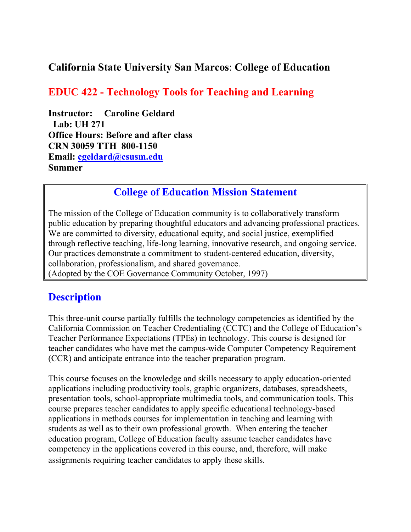### **California State University San Marcos**: **College of Education**

## **EDUC 422 - Technology Tools for Teaching and Learning**

**Instructor: Caroline Geldard Lab: UH 271 Office Hours: Before and after class CRN 30059 TTH 800-1150 Email: cgeldard@csusm.edu Summer** 

## **College of Education Mission Statement**

The mission of the College of Education community is to collaboratively transform public education by preparing thoughtful educators and advancing professional practices. We are committed to diversity, educational equity, and social justice, exemplified through reflective teaching, life-long learning, innovative research, and ongoing service. Our practices demonstrate a commitment to student-centered education, diversity, collaboration, professionalism, and shared governance. (Adopted by the COE Governance Community October, 1997)

### **Description**

This three-unit course partially fulfills the technology competencies as identified by the California Commission on Teacher Credentialing (CCTC) and the College of Education's Teacher Performance Expectations (TPEs) in technology. This course is designed for teacher candidates who have met the campus-wide Computer Competency Requirement (CCR) and anticipate entrance into the teacher preparation program.

This course focuses on the knowledge and skills necessary to apply education-oriented applications including productivity tools, graphic organizers, databases, spreadsheets, presentation tools, school-appropriate multimedia tools, and communication tools. This course prepares teacher candidates to apply specific educational technology-based applications in methods courses for implementation in teaching and learning with students as well as to their own professional growth. When entering the teacher education program, College of Education faculty assume teacher candidates have competency in the applications covered in this course, and, therefore, will make assignments requiring teacher candidates to apply these skills.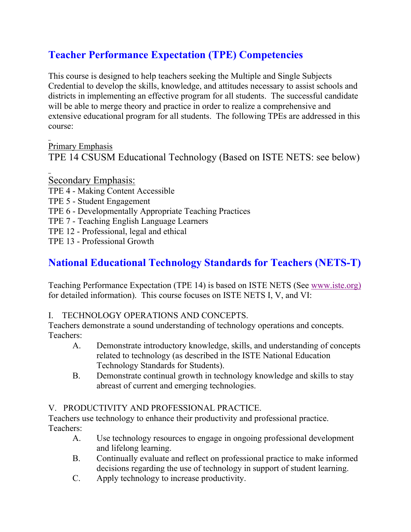## **Teacher Performance Expectation (TPE) Competencies**

This course is designed to help teachers seeking the Multiple and Single Subjects Credential to develop the skills, knowledge, and attitudes necessary to assist schools and districts in implementing an effective program for all students. The successful candidate will be able to merge theory and practice in order to realize a comprehensive and extensive educational program for all students. The following TPEs are addressed in this course:

Primary Emphasis TPE 14 CSUSM Educational Technology (Based on ISTE NETS: see below)

Secondary Emphasis:

- TPE 4 Making Content Accessible
- TPE 5 Student Engagement
- TPE 6 Developmentally Appropriate Teaching Practices
- TPE 7 Teaching English Language Learners
- TPE 12 Professional, legal and ethical

TPE 13 - Professional Growth

## **National Educational Technology Standards for Teachers (NETS-T)**

Teaching Performance Expectation (TPE 14) is based on ISTE NETS (See www.iste.org) for detailed information). This course focuses on ISTE NETS I, V, and VI:

#### I. TECHNOLOGY OPERATIONS AND CONCEPTS.

Teachers demonstrate a sound understanding of technology operations and concepts. Teachers:

- A. Demonstrate introductory knowledge, skills, and understanding of concepts related to technology (as described in the ISTE National Education Technology Standards for Students).
- B. Demonstrate continual growth in technology knowledge and skills to stay abreast of current and emerging technologies.

#### V. PRODUCTIVITY AND PROFESSIONAL PRACTICE.

Teachers use technology to enhance their productivity and professional practice. Teachers:

- A. Use technology resources to engage in ongoing professional development and lifelong learning.
- B. Continually evaluate and reflect on professional practice to make informed decisions regarding the use of technology in support of student learning.
- C. Apply technology to increase productivity.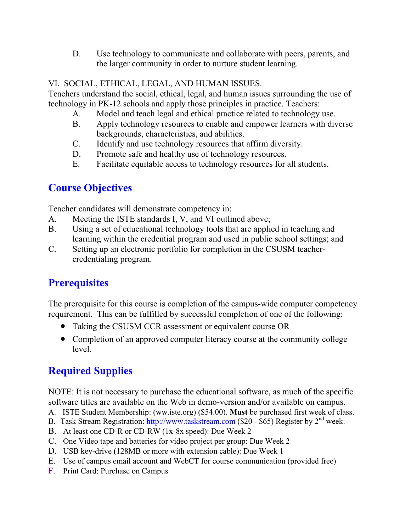D. Use technology to communicate and collaborate with peers, parents, and the larger community in order to nurture student learning.

#### VI. SOCIAL, ETHICAL, LEGAL, AND HUMAN ISSUES.

Teachers understand the social, ethical, legal, and human issues surrounding the use of technology in PK-12 schools and apply those principles in practice. Teachers:

- A. Model and teach legal and ethical practice related to technology use.
- B. Apply technology resources to enable and empower learners with diverse backgrounds, characteristics, and abilities.
- C. Identify and use technology resources that affirm diversity.
- D. Promote safe and healthy use of technology resources.
- E. Facilitate equitable access to technology resources for all students.

## **Course Objectives**

Teacher candidates will demonstrate competency in:

- A. Meeting the ISTE standards I, V, and VI outlined above;
- B. Using a set of educational technology tools that are applied in teaching and learning within the credential program and used in public school settings; and
- C. Setting up an electronic portfolio for completion in the CSUSM teachercredentialing program.

# **Prerequisites**

The prerequisite for this course is completion of the campus-wide computer competency requirement. This can be fulfilled by successful completion of one of the following:

- Taking the CSUSM CCR assessment or equivalent course OR
- Completion of an approved computer literacy course at the community college level.

# **Required Supplies**

NOTE: It is not necessary to purchase the educational software, as much of the specific software titles are available on the Web in demo-version and/or available on campus.

- A. ISTE Student Membership: (ww.iste.org) (\$54.00). **Must** be purchased first week of class.
- B. Task Stream Registration: http://www.taskstream.com (\$20 \$65) Register by 2<sup>nd</sup> week.
- B. At least one CD-R or CD-RW (1x-8x speed): Due Week 2
- C. One Video tape and batteries for video project per group: Due Week 2
- D. USB key-drive (128MB or more with extension cable): Due Week 1
- E. Use of campus email account and WebCT for course communication (provided free)
- F. Print Card: Purchase on Campus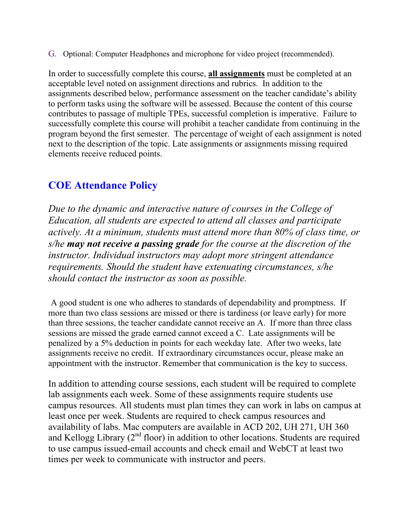G. Optional: Computer Headphones and microphone for video project (recommended).

In order to successfully complete this course, **all assignments** must be completed at an acceptable level noted on assignment directions and rubrics. In addition to the assignments described below, performance assessment on the teacher candidate's ability to perform tasks using the software will be assessed. Because the content of this course contributes to passage of multiple TPEs, successful completion is imperative. Failure to successfully complete this course will prohibit a teacher candidate from continuing in the program beyond the first semester. The percentage of weight of each assignment is noted next to the description of the topic. Late assignments or assignments missing required elements receive reduced points.

## **COE Attendance Policy**

*Due to the dynamic and interactive nature of courses in the College of Education, all students are expected to attend all classes and participate actively. At a minimum, students must attend more than 80% of class time, or s/he may not receive a passing grade for the course at the discretion of the instructor. Individual instructors may adopt more stringent attendance requirements. Should the student have extenuating circumstances, s/he should contact the instructor as soon as possible.*

A good student is one who adheres to standards of dependability and promptness. If more than two class sessions are missed or there is tardiness (or leave early) for more than three sessions, the teacher candidate cannot receive an A. If more than three class sessions are missed the grade earned cannot exceed a C. Late assignments will be penalized by a 5% deduction in points for each weekday late. After two weeks, late assignments receive no credit. If extraordinary circumstances occur, please make an appointment with the instructor. Remember that communication is the key to success.

In addition to attending course sessions, each student will be required to complete lab assignments each week. Some of these assignments require students use campus resources. All students must plan times they can work in labs on campus at least once per week. Students are required to check campus resources and availability of labs. Mac computers are available in ACD 202, UH 271, UH 360 and Kellogg Library  $(2^{nd}$  floor) in addition to other locations. Students are required to use campus issued-email accounts and check email and WebCT at least two times per week to communicate with instructor and peers.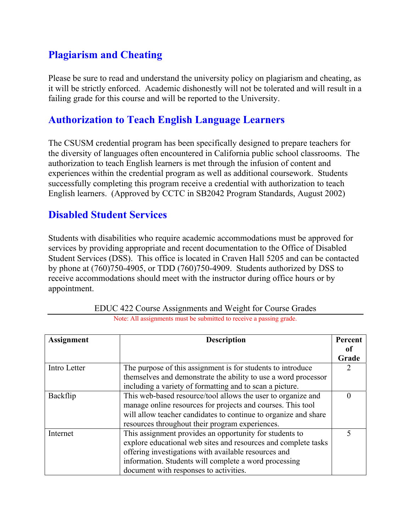## **Plagiarism and Cheating**

Please be sure to read and understand the university policy on plagiarism and cheating, as it will be strictly enforced. Academic dishonestly will not be tolerated and will result in a failing grade for this course and will be reported to the University.

### **Authorization to Teach English Language Learners**

The CSUSM credential program has been specifically designed to prepare teachers for the diversity of languages often encountered in California public school classrooms. The authorization to teach English learners is met through the infusion of content and experiences within the credential program as well as additional coursework. Students successfully completing this program receive a credential with authorization to teach English learners. (Approved by CCTC in SB2042 Program Standards, August 2002)

#### **Disabled Student Services**

Students with disabilities who require academic accommodations must be approved for services by providing appropriate and recent documentation to the Office of Disabled Student Services (DSS). This office is located in Craven Hall 5205 and can be contacted by phone at (760)750-4905, or TDD (760)750-4909. Students authorized by DSS to receive accommodations should meet with the instructor during office hours or by appointment.

| Assignment   | <b>Description</b>                                              | Percent          |
|--------------|-----------------------------------------------------------------|------------------|
|              |                                                                 | 0Ť               |
|              |                                                                 | Grade            |
| Intro Letter | The purpose of this assignment is for students to introduce     | 2                |
|              | themselves and demonstrate the ability to use a word processor  |                  |
|              | including a variety of formatting and to scan a picture.        |                  |
| Backflip     | This web-based resource/tool allows the user to organize and    | $\left( \right)$ |
|              | manage online resources for projects and courses. This tool     |                  |
|              | will allow teacher candidates to continue to organize and share |                  |
|              | resources throughout their program experiences.                 |                  |
| Internet     | This assignment provides an opportunity for students to         |                  |
|              | explore educational web sites and resources and complete tasks  |                  |
|              | offering investigations with available resources and            |                  |
|              | information. Students will complete a word processing           |                  |
|              | document with responses to activities.                          |                  |

| <b>EDUC 422 Course Assignments and Weight for Course Grades</b>     |
|---------------------------------------------------------------------|
| Note: All assignments must be submitted to receive a passing grade. |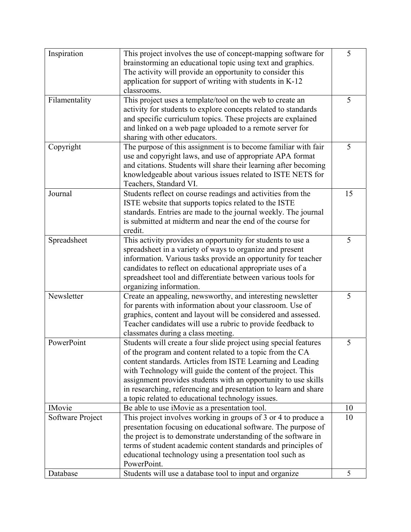| Inspiration      | This project involves the use of concept-mapping software for    | 5  |
|------------------|------------------------------------------------------------------|----|
|                  | brainstorming an educational topic using text and graphics.      |    |
|                  | The activity will provide an opportunity to consider this        |    |
|                  | application for support of writing with students in K-12         |    |
|                  | classrooms.                                                      |    |
| Filamentality    | This project uses a template/tool on the web to create an        | 5  |
|                  | activity for students to explore concepts related to standards   |    |
|                  | and specific curriculum topics. These projects are explained     |    |
|                  | and linked on a web page uploaded to a remote server for         |    |
|                  | sharing with other educators.                                    |    |
| Copyright        | The purpose of this assignment is to become familiar with fair   | 5  |
|                  | use and copyright laws, and use of appropriate APA format        |    |
|                  | and citations. Students will share their learning after becoming |    |
|                  | knowledgeable about various issues related to ISTE NETS for      |    |
|                  | Teachers, Standard VI.                                           |    |
| Journal          | Students reflect on course readings and activities from the      | 15 |
|                  | ISTE website that supports topics related to the ISTE            |    |
|                  | standards. Entries are made to the journal weekly. The journal   |    |
|                  | is submitted at midterm and near the end of the course for       |    |
|                  | credit.                                                          |    |
| Spreadsheet      | This activity provides an opportunity for students to use a      | 5  |
|                  | spreadsheet in a variety of ways to organize and present         |    |
|                  | information. Various tasks provide an opportunity for teacher    |    |
|                  | candidates to reflect on educational appropriate uses of a       |    |
|                  | spreadsheet tool and differentiate between various tools for     |    |
|                  | organizing information.                                          |    |
| Newsletter       |                                                                  | 5  |
|                  | Create an appealing, newsworthy, and interesting newsletter      |    |
|                  | for parents with information about your classroom. Use of        |    |
|                  | graphics, content and layout will be considered and assessed.    |    |
|                  | Teacher candidates will use a rubric to provide feedback to      |    |
|                  | classmates during a class meeting.                               |    |
| PowerPoint       | Students will create a four slide project using special features | 5  |
|                  | of the program and content related to a topic from the CA        |    |
|                  | content standards. Articles from ISTE Learning and Leading       |    |
|                  | with Technology will guide the content of the project. This      |    |
|                  | assignment provides students with an opportunity to use skills   |    |
|                  | in researching, referencing and presentation to learn and share  |    |
|                  | a topic related to educational technology issues.                |    |
| <b>IMovie</b>    | Be able to use iMovie as a presentation tool.                    | 10 |
| Software Project | This project involves working in groups of 3 or 4 to produce a   | 10 |
|                  | presentation focusing on educational software. The purpose of    |    |
|                  | the project is to demonstrate understanding of the software in   |    |
|                  | terms of student academic content standards and principles of    |    |
|                  | educational technology using a presentation tool such as         |    |
|                  | PowerPoint.                                                      |    |
| Database         | Students will use a database tool to input and organize          | 5  |